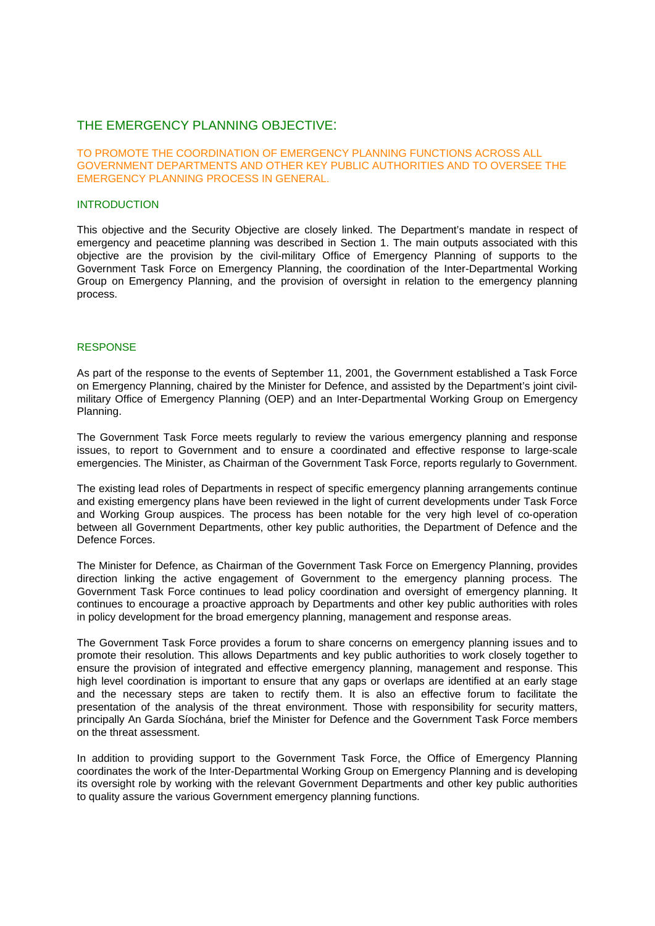## THE EMERGENCY PLANNING OBJECTIVE:

### TO PROMOTE THE COORDINATION OF EMERGENCY PLANNING FUNCTIONS ACROSS ALL GOVERNMENT DEPARTMENTS AND OTHER KEY PUBLIC AUTHORITIES AND TO OVERSEE THE EMERGENCY PLANNING PROCESS IN GENERAL.

#### INTRODUCTION

This objective and the Security Objective are closely linked. The Department's mandate in respect of emergency and peacetime planning was described in Section 1. The main outputs associated with this objective are the provision by the civil-military Office of Emergency Planning of supports to the Government Task Force on Emergency Planning, the coordination of the Inter-Departmental Working Group on Emergency Planning, and the provision of oversight in relation to the emergency planning process.

#### RESPONSE

As part of the response to the events of September 11, 2001, the Government established a Task Force on Emergency Planning, chaired by the Minister for Defence, and assisted by the Department's joint civilmilitary Office of Emergency Planning (OEP) and an Inter-Departmental Working Group on Emergency Planning.

The Government Task Force meets regularly to review the various emergency planning and response issues, to report to Government and to ensure a coordinated and effective response to large-scale emergencies. The Minister, as Chairman of the Government Task Force, reports regularly to Government.

The existing lead roles of Departments in respect of specific emergency planning arrangements continue and existing emergency plans have been reviewed in the light of current developments under Task Force and Working Group auspices. The process has been notable for the very high level of co-operation between all Government Departments, other key public authorities, the Department of Defence and the Defence Forces.

The Minister for Defence, as Chairman of the Government Task Force on Emergency Planning, provides direction linking the active engagement of Government to the emergency planning process. The Government Task Force continues to lead policy coordination and oversight of emergency planning. It continues to encourage a proactive approach by Departments and other key public authorities with roles in policy development for the broad emergency planning, management and response areas.

The Government Task Force provides a forum to share concerns on emergency planning issues and to promote their resolution. This allows Departments and key public authorities to work closely together to ensure the provision of integrated and effective emergency planning, management and response. This high level coordination is important to ensure that any gaps or overlaps are identified at an early stage and the necessary steps are taken to rectify them. It is also an effective forum to facilitate the presentation of the analysis of the threat environment. Those with responsibility for security matters, principally An Garda Síochána, brief the Minister for Defence and the Government Task Force members on the threat assessment.

In addition to providing support to the Government Task Force, the Office of Emergency Planning coordinates the work of the Inter-Departmental Working Group on Emergency Planning and is developing its oversight role by working with the relevant Government Departments and other key public authorities to quality assure the various Government emergency planning functions.